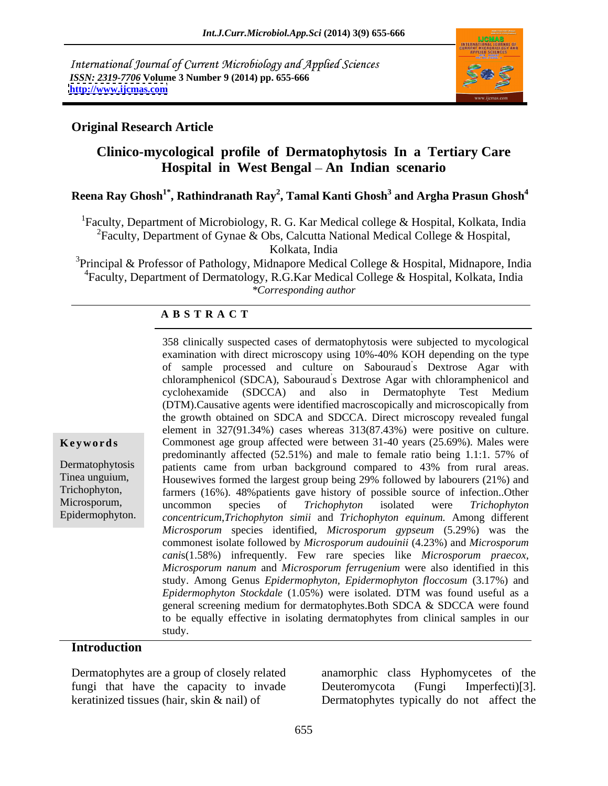International Journal of Current Microbiology and Applied Sciences *ISSN: 2319-7706* **Volume 3 Number 9 (2014) pp. 655-666 <http://www.ijcmas.com>**



### **Original Research Article**

# **Clinico-mycological profile of Dermatophytosis In a Tertiary Care Hospital in West Bengal An Indian scenario**

## **Reena Ray Ghosh1\* , Rathindranath Ray<sup>2</sup> , Tamal Kanti Ghosh<sup>3</sup> and Argha Prasun Ghosh<sup>4</sup>**

<sup>1</sup>Faculty, Department of Microbiology, R. G. Kar Medical college & Hospital, Kolkata, India <sup>2</sup>Faculty, Department of Gynae & Obs, Calcutta National Medical College & Hospital, Kolkata, India

<sup>3</sup>Principal & Professor of Pathology, Midnapore Medical College & Hospital, Midnapore, India 4Faculty, Department of Dermatology, R.G.Kar Medical College & Hospital, Kolkata, India *\*Corresponding author* 

### **A B S T R A C T**

Tinea unguium,  $\frac{1}{2}$  Housewives formed the largest group being 29% followed by labourers (21%) and history of possible source of infection. Other hophyton isolated were *Irichophyton*<br>in The L  $\mu$ in distribution distribution. All and distribution in  $(5.20\%)$  are prevalent in the more prevalent in the more prevalent in the more prevalent in the more prevalent in the more prevalent in the more prevalent in the  $T$  and  $T$  and  $T$  and  $T$  and  $T$  are more prevalent in  $T$  are precise in  $T$  and  $T$  are precise in  $T$  are  $T$  are precise in  $T$  are  $T$  and  $T$  are precise in  $T$  are  $T$  and  $T$  are precise in  $T$  and  $T$  and  $T$  due to favour *nanum* and *Microsporum ferrugenium* were also identified in this *Microsporum nanum* and *Microsporum ferrugenium* were also identified in this study. Among Genus *Epidermophyton, Epidermophyton floccosum* (3.17%) and *Epidermophyton Stockdale* (1.05%) were isolated. DTM was found useful as a general screening medium for dermatophytes.Both SDCA & SDCCA were found to be equally effective in isolating dermatophytes from clinical samples in our **Keywords** Commonest age group affected were between 31-40 years (25.69%). Males were Dermatophytosis patients came from urban background compared to 43% from rural areas. Trichophyton, farmers (16%). 48%patients gave history of possible source of infection..Other Microsporum, uncommon species of *Trichophyton* isolated were *Trichophyton* Epidermophyton. *concentricum*,*Trichophyton simii* and *Trichophyton equinum.* Among different 358 clinically suspected cases of dermatophytosis were subjected to mycological examination with direct microscopy using 10%-40% KOH depending on the type of sample processed and culture on Sabouraud's Dextrose Agar with chloramphenicol (SDCA), Sabouraud s Dextrose Agar with chloramphenicol and cyclohexamide (SDCCA) and also in Dermatophyte Test Medium (DTM).Causative agents were identified macroscopically and microscopically from the growth obtained on SDCA and SDCCA. Direct microscopy revealed fungal element in 327(91.34%) cases whereas 313(87.43%) were positive on culture. predominantly affected (52.51%) and male to female ratio being 1.1:1. 57% of uncommon species of *Trichophyton* isolated were *Trichophyton Microsporum* species identified, *Microsporum gypseum* (5.29%) was the commonest isolate followed by *Microsporum audouinii* (4.23%) and *Microsporum cani*s(1.58%) infrequently. Few rare species like *Microsporum praecox*, study.

### **Introduction**

Dermatophytes are a group of closely related anamorphic class Hyphomycetes of the fungi that have the capacity to invade Deuteromycota (Fungi Imperfecti)[3]. keratinized tissues (hair, skin & nail) of Dermatophytes typically do not affect the Deuteromycota (Fungi Imperfecti)[3].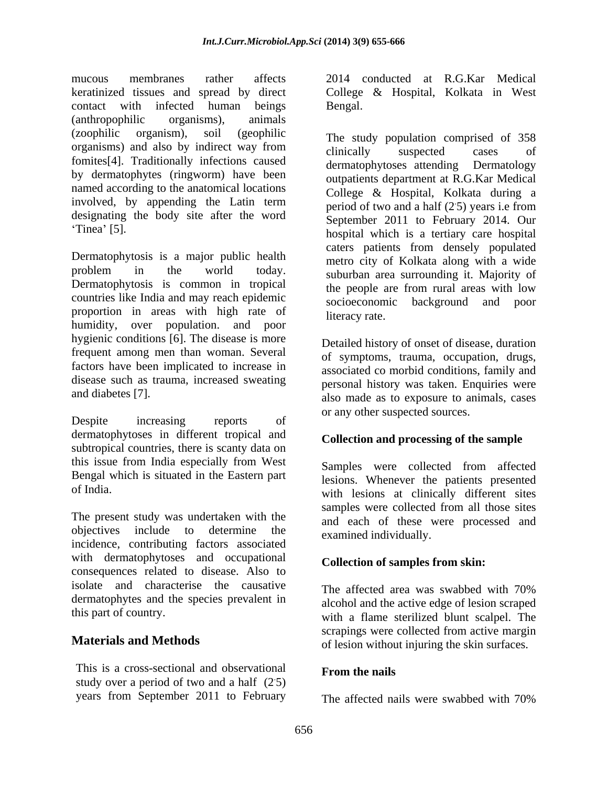mucous membranes rather affects 2014 conducted at R.G.Kar Medical keratinized tissues and spread by direct contact with infected human beings (anthropophilic organisms), animals (zoophilic organism), soil (geophilic The study population comprised of 358 organisms) and also by indirect way from clinically suspected cases of fomites[4]. Traditionally infections caused<br>dermatophytoses attending Dermatology by dermatophytes (ringworm) have been named according to the anatomical locations involved, by appending the Latin term designating the body site after the word

Dermatophytosis is a major public health problem in the world today. The subject of the matrix of Dermatophytosis is common in tropical countries like India and may reach epidemic proportion in areas with high rate of literacy rate. humidity, over population. and poor hygienic conditions [6]. The disease is more frequent among men than woman. Several factors have been implicated to increase in disease such as trauma, increased sweating

Despite increasing reports of the complete state of the contract of dermatophytoses in different tropical and subtropical countries, there is scanty data on this issue from India especially from West Bengal which is situated in the Eastern part

The present study was undertaken with the objectives include to determine the  $\frac{1}{1}$  examined individually incidence, contributing factors associated with dermatophytoses and occupational consequences related to disease. Also to isolate and characterise the causative The affected area was swabbed with 70% dermatophytes and the species prevalent in

This is a cross-sectional and observational From the nails study over a period of two and a half (2.5) years from September 2011 to February

College& Hospital, Kolkata in West Bengal.

Tinea' [5]. hospital which is a tertiary care hospital clinically suspected cases of dermatophytoses attending Dermatology outpatients department at R.G.Kar Medical College & Hospital, Kolkata during a period of two and a half  $(25)$  years i.e from .5) years i.e from September 2011 to February 2014. Our caters patients from densely populated metro city of Kolkata along with a wide suburban area surrounding it. Majority of the people are from rural areas with low socioeconomic background and poor literacy rate.

and diabetes [7].<br>also made as to exposure to animals, cases Detailed history of onset of disease, duration of symptoms, trauma, occupation, drugs, associated co morbid conditions, family and personal history was taken. Enquiries were or any other suspected sources.

## **Collection and processing of the sample**

of India. with lesions at clinically different sites Samples were collected from affected lesions. Whenever the patients presented samples were collected from all those sites and each of these were processed and examined individually.

## **Collection of samples from skin:**

this part of country. with a flame sterilized blunt scalpel. The **Materials and Methods** of lesion without injuring the skin surfaces. The affected area was swabbed with 70% alcohol and the active edge of lesion scraped scrapings were collected from active margin

### **From the nails**

The affected nails were swabbed with 70%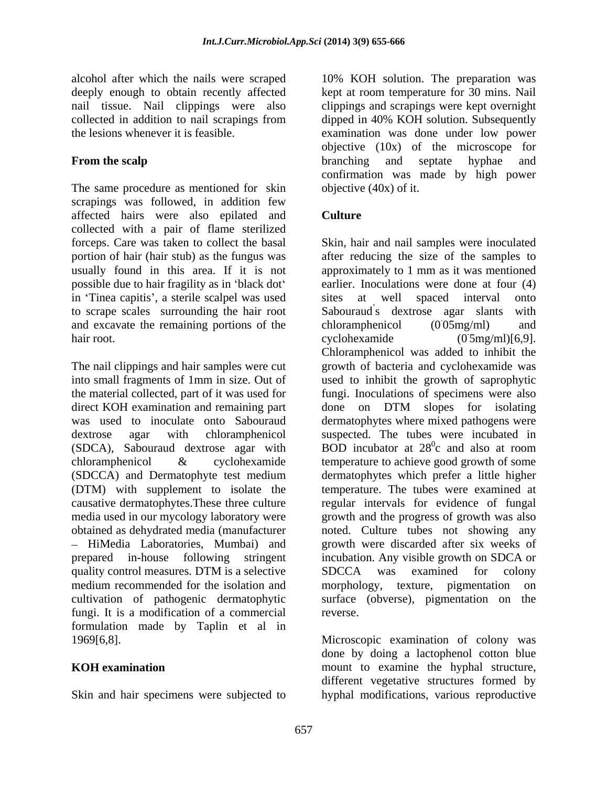nail tissue. Nail clippings were also

The same procedure as mentioned for skin scrapings was followed, in addition few affected hairs were also epilated and collected with a pair of flame sterilized possible due to hair fragility as in 'black dot' earlier. Inoculations were<br>in 'Tinea capitis', a sterile scalpel was used sites at well spaced in Tinea capitis', a sterile scalpel was used sites at well spaced interval onto to scrape scales surrounding the hair root Sabouraud's dextrose agar slants with and excavate the remaining portions of the chloramphenicol (0.05mg/ml) and hair root. (0.5mg/ml)[6,9].

direct KOH examination and remaining part alone on DTM slopes for isolating causative dermatophytes.These three culture quality control measures. DTM is a selective SDCCA was examined for colony medium recommended for the isolation and morphology, texture, pigmentation on cultivation of pathogenic dermatophytic fungi. It is a modification of a commercial formulation made by Taplin et al in 1969[6,8]. Microscopic examination of colony was

Skin and hair specimens were subjected to hyphal modifications, various reproductive

alcohol after which the nails were scraped 10% KOH solution. The preparation was deeply enough to obtain recently affected kept at room temperature for 30 mins. Nail collected in addition to nail scrapings from dipped in 40% KOH solution. Subsequently the lesions whenever it is feasible. examination was done under low power **From the scalp** entries and separate the scalp of the scalp of the branching and septate hyphae and separate scalp clippings and scrapings were kept overnight objective (10x) of the microscope for branching and septate hyphae and confirmation was made by high power objective (40x) of it.

### **Culture Culture**

forceps. Care was taken to collect the basal Skin, hair and nail samples were inoculated portion of hair (hair stub) as the fungus was after reducing the size of the samples to usually found in this area. If it is not approximately to 1 mm as it was mentioned The nail clippings and hair samples were cut growth of bacteria and cyclohexamide was into small fragments of 1mm in size. Out of used to inhibit the growth of saprophytic the material collected, part of it was used for fungi. Inoculations of specimens were also was used to inoculate onto Sabouraud dermatophytes where mixed pathogens were dextrose agar with chloramphenicol suspected. The tubes were incubated in (SDCA), Sabouraud dextrose agar with BOD incubator at  $28^{\circ}$ c and also at room chloramphenicol & cyclohexamide temperature to achieve good growth of some (SDCCA) and Dermatophyte test medium dermatophytes which prefer a little higher (DTM) with supplement to isolate the temperature. The tubes were examined at media used in our mycology laboratory were growth and the progress of growth was also obtained as dehydrated media (manufacturer noted. Culture tubes not showing any HiMedia Laboratories, Mumbai) and growth were discarded after six weeks of prepared in-house following stringent incubation. Any visible growth on SDCA or earlier. Inoculations were done at four (4) sites at well spaced interval onto Sabouraud's dextrose agar slants chloramphenicol (0 05mg/ml) and cyclohexamide (0 5mg/ml)[6,9]. Chloramphenicol was added to inhibit the done on DTM slopes for isolating  $^{0}$  and also at room c and also at room regular intervals for evidence of fungal SDCCA was examined for colony morphology, texture, pigmentation on surface (obverse), pigmentation on reverse.

**KOH examination** mount to examine the hyphal structure, done by doing a lactophenol cotton blue different vegetative structures formed by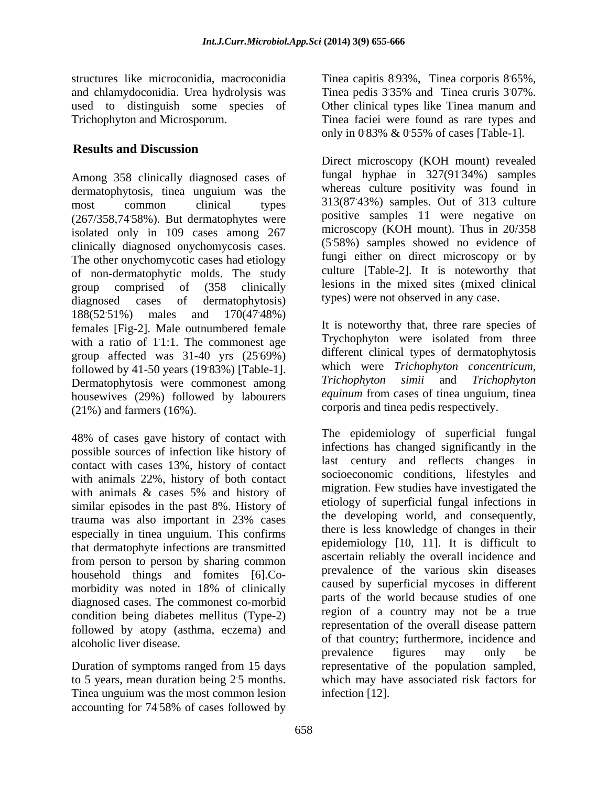## **Results and Discussion**

Among 358 clinically diagnosed cases of dermatophytosis, tinea unguium was the most common clinical types 313(87.43%) samples. Out of 313 culture (267/358,74.58%). But dermatophytes were isolated only in 109 cases among 267 clinically diagnosed onychomycosis cases. The other onychomycotic cases had etiology of non-dermatophytic molds. The study group comprised of (358 clinically diagnosed cases of dermatophytosis) types) were not observed in any case. 188(52.51%) males and 170(47.48%) females [Fig-2]. Male outnumbered female with a ratio of  $11:1$ . The commonest age group affected was  $31-40$  yrs  $(25.69\%)$ followed by 41-50 years (19.83%) [Table-1]. Which were *Trichophyton concentricum*,<br> *Trichophyton simii* and *Trichophyton* Dermatophytosis were commonest among housewives (29%) followed by labourers (21%) and farmers (16%). corporis and tinea pedis respectively.

48% of cases gave history of contact with possible sources of infection like history of contact with cases 13%, history of contact with animals  $22\%$ , history of both contact<br>with animals  $\&$  cases 5% and history of similar episodes in the past 8%. History of especially in tinea unguium. This confirms that dermatophyte infections are transmitted from person to person by sharing common household things and fomites [6].Co diagnosed cases. The commonest co-morbid condition being diabetes mellitus (Type-2) followed by atopy (asthma, eczema) and

Tinea unguium was the most common lesion accounting for 74.58% of cases followed by .58% of cases followed by

structures like microconidia, macroconidia Tinea capitis 893%, Tinea corporis 865%, and chlamydoconidia. Urea hydrolysis was Tinea pedis 3 used to distinguish some species of Other clinical types like Tinea manum and Trichophyton and Microsporum. Tinea faciei were found as rare types and .65%, .35% and Tinea cruris 3 .07%. only in  $0.83\% \& 0.55\%$  of cases [Table-1].

> Direct microscopy (KOH mount) revealed fungal hyphae in 327(91.34%) samples .34%) samples whereas culture positivity was found in positive samples 11 were negative on microscopy (KOH mount). Thus in 20/358 (5.58%) samples showed no evidence of fungi either on direct microscopy or by culture [Table-2]. It is noteworthy that lesions in the mixed sites (mixed clinical types) were not observed in any case.

.48%) .1:1. The commonest age Trychophyton were isolated from three .69%) different clinical types of dermatophytosis It is noteworthy that, three rare species of which were *Trichophyton concentricum, Trichophyton simii* and *Trichophyton equinum* from cases of tinea unguium, tinea

with animals  $\&$  cases 5% and history of  $\qquad$  migration. Few summers have investigated the trauma was also important in 23% cases the developing world, and consequently, morbidity was noted in 18% of clinically caused by superficial mycoses in different alcoholic liver disease.  $\frac{1}{2}$  of that country; furthermore, incidence and Duration of symptoms ranged from 15 days representative of the population sampled, to 5 years, mean duration being 2 .5 months. which may have associated risk factors for The epidemiology of superficial fungal infections has changed significantly in the last century and reflects changes in socioeconomic conditions, lifestyles and migration. Few studies have investigated the etiology of superficial fungal infections in the developing world, and consequently, there is less knowledge of changes in their epidemiology [10, 11]. It is difficult to ascertain reliably the overall incidence and prevalence of the various skin diseases caused by superficial mycoses in different parts of the world because studies of one region of a country may not be a true representation of the overall disease pattern prevalence figures may only be infection [12].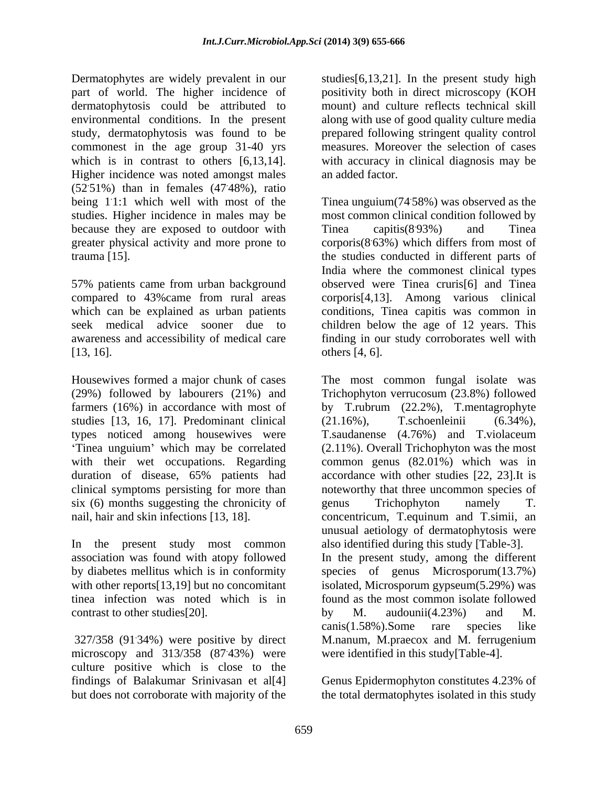Dermatophytes are widely prevalent in our studies[6,13,21]. In the present study high part of world. The higher incidence of positivity both in direct microscopy (KOH dermatophytosis could be attributed to environmental conditions. In the present along with use of good quality culture media study, dermatophytosis was found to be prepared following stringent quality control commonest in the age group 31-40 yrs which is in contrast to others [6,13,14]. With accuracy in clinical diagnosis may be Higher incidence was noted amongst males  $(52.51%)$  than in females  $(47.48%)$ , ratio .48%), ratio studies. Higher incidence in males may be because they are exposed to outdoor with Tinea capitis(893%) and Tinea greater physical activity and more prone to corporis(8.63%) which differs from most of

[13, 16]. others [4, 6].

studies [13, 16, 17]. Predominant clinical (21.16%), T.schoenleinii (6.34%), types noticed among housewives were T.saudanense (4.76%) and T.violaceum six (6) months suggesting the chronicity of genus Trichophyton namely T.

tinea infection was noted which is in contrast to other studies [20].  $\qquad \qquad$  by M. audounii(4.23%) and M.

microscopy and  $313/358$   $(8743%)$  were culture positive which is close to the findings of Balakumar Srinivasan et al[4] but does not corroborate with majority of the the total dermatophytes isolated in this study

mount) and culture reflects technical skill measures. Moreover the selection of cases an added factor.

being 11:1 which well with most of the Tinea unguium(74.58%) was observed as the trauma [15]. the studies conducted in different parts of 57% patients came from urban background observed were Tinea cruris[6] and Tinea compared to 43%came from rural areas corporis[4,13]. Among various clinical which can be explained as urban patients conditions, Tinea capitis was common in seek medical advice sooner due to children below the age of 12 years. This awareness and accessibility of medical care finding in our study corroborates well with most common clinical condition followed by Tinea capitis(893%) and Tinea .93%) and Tinea  $corporis(8.63%)$  which differs from most of India where the commonest clinical types others  $[4, 6]$ .

Housewives formed a major chunk of cases The most common fungal isolate was (29%) followed by labourers (21%) and Trichophyton verrucosum (23.8%) followed farmers (16%) in accordance with most of by T.rubrum (22.2%), T.mentagrophyte Tinea unguium' which may be correlated (2.11%). Overall Trichophyton was the most with their wet occupations. Regarding common genus (82.01%) which was in duration of disease, 65% patients had accordance with other studies [22, 23]. It is clinical symptoms persisting for more than noteworthy that three uncommon species of nail, hair and skin infections [13, 18]. concentricum, T.equinum and T.simii, an In the present study most common also identified during this study [Table-3]. association was found with atopy followed In the present study, among the different by diabetes mellitus which is in conformity species of genus Microsporum(13.7%) with other reports[13,19] but no concomitant isolated, Microsporum gypseum(5.29%) was 327/358 (91.34%) were positive by direct M.nanum, M.praecox and M. ferrugenium (21.16%), T.schoenleinii (6.34%), T.saudanense (4.76%) and T.violaceum accordance with other studies [22, 23].It is genus Trichophyton namely T. unusual aetiology of dermatophytosis were found as the most common isolate followed by M. audounii(4.23%) and M. canis(1.58%).Some rare species like were identified in this study[Table-4].

Genus Epidermophyton constitutes 4.23% of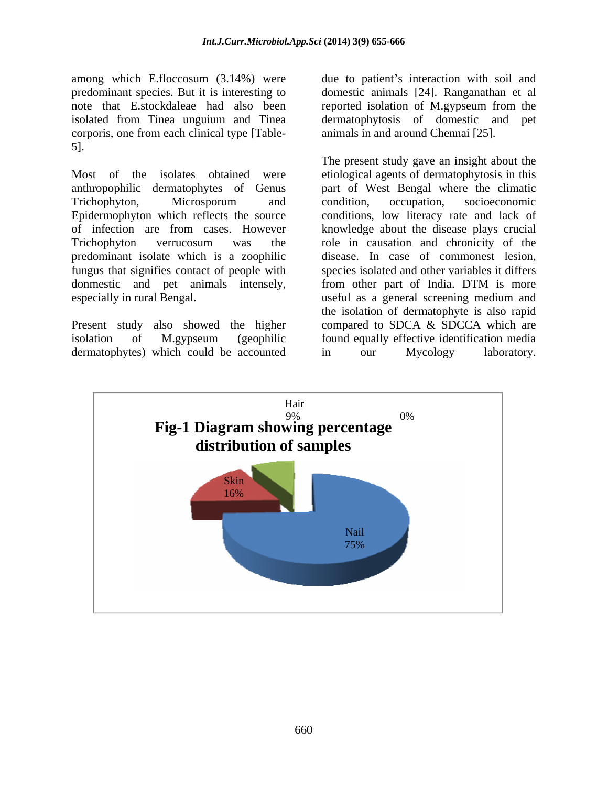corporis, one from each clinical type [Table- 5].

predominant isolate which is a zoophilic fungus that signifies contact of people with donmestic and pet animals intensely, from other part of India. DTM is more

dermatophytes) which could be accounted in our Mycology laboratory.

among which E.floccosum (3.14%) were due to patient's interaction with soil and predominant species. But it is interesting to domestic animals [24]. Ranganathan et al note that E.stockdaleae had also been reported isolation of M.gypseum from the isolated from Tinea unguium and Tinea dermatophytosis of domestic and pet animals in and around Chennai [25].

Most of the isolates obtained were etiological agents of dermatophytosis in this anthropophilic dermatophytes of Genus part of West Bengal where the climatic Trichophyton, Microsporum and Epidermophyton which reflects the source conditions, low literacy rate and lack of of infection are from cases. However knowledge about the disease plays crucial Trichophyton verrucosum was the role in causation and chronicity of the especially in rural Bengal. useful as a general screening medium and Present study also showed the higher compared to SDCA & SDCCA which are isolation of M.gypseum (geophilic found equally effective identification media The present study gave an insight about the condition, occupation, socioeconomic disease. In case of commonest lesion, species isolated and other variables it differs from other part of India. DTM is more the isolation of dermatophyte is also rapid in our Mycology laboratory.

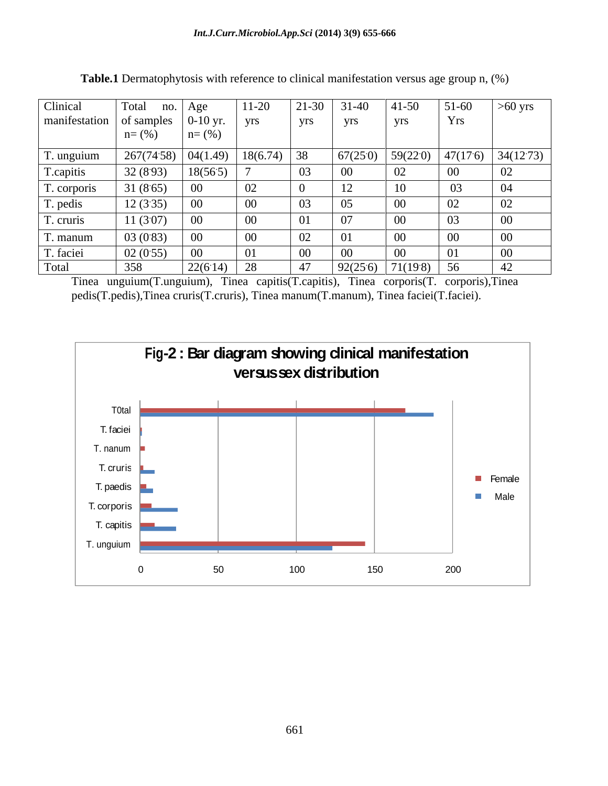| Clinical                                  | Total                | no. Age    | $11-20$  | $21 - 30$ | $31 - 40$ | $41 - 50$ | $51-60$ | $>60$ yrs                                          |
|-------------------------------------------|----------------------|------------|----------|-----------|-----------|-----------|---------|----------------------------------------------------|
| manifestation of samples $\vert$ 0-10 yr. |                      |            | yrs      | yrs       | yrs       | yrs       | Yrs     |                                                    |
|                                           | $n = (% )$           | $n = (\%)$ |          |           |           |           |         |                                                    |
| T. unguium                                | $267(7458)$ 04(1.49) |            | 18(6.74) | 38        | 67(250)   |           |         | $\vert 59(220) \vert 47(176) \vert 34(1273) \vert$ |
| T.capitis                                 | 32(8.93)             | 18(565)    |          | 03        | 00        | 02        | $00\,$  | 02                                                 |
| T. corporis                               | 31(8.65)             | 00         | ∪∠       | $\Omega$  | 12        | 10        | 03      | 04                                                 |
| T. pedis                                  | 12(335)              | 00         | 00       | 03        | 05        | $00\,$    | 02      | 02                                                 |
| T. cruris                                 | 11(307)              |            | 00       | 01        | 07        | $00\,$    | 03      | 00                                                 |
| T. manum                                  | 03(0.83)             | 00         | 00       | 02        | 01        | $00\,$    | 00      | 00                                                 |
| T. faciei                                 | 02(0.55)             | VV         |          | - 00      | $00\,$    | $00\,$    | 01      | $00\,$                                             |
| Total                                     | 358                  | 22(6.14)   | 28       | 47        | 92(25.6)  | 71(198)   | 56      | 42                                                 |

**Table.1** Dermatophytosis with reference to clinical manifestation versus age group n, (%)

Tinea unguium(T.unguium), Tinea capitis(T.capitis), Tinea corporis(T. corporis),Tinea pedis(T.pedis),Tinea cruris(T.cruris), Tinea manum(T.manum), Tinea faciei(T.faciei).

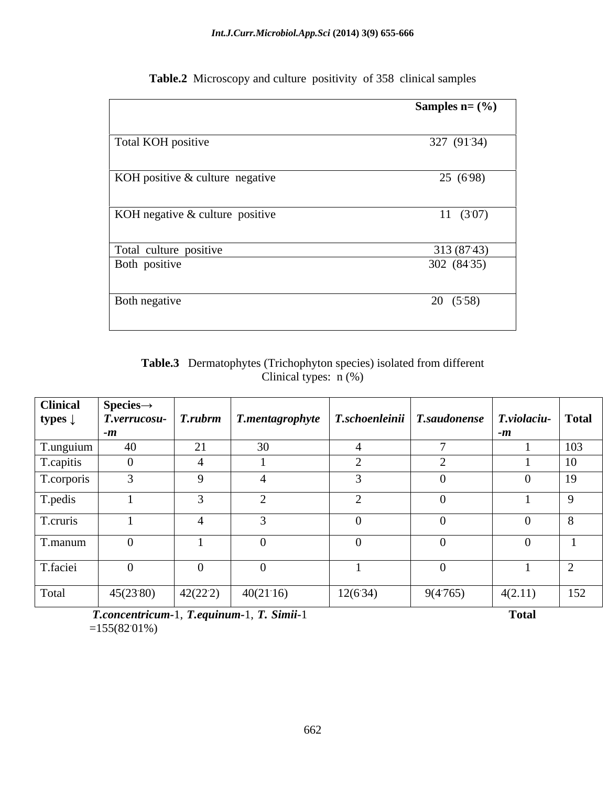|                                         | Samples $n = (\frac{6}{6})$ |
|-----------------------------------------|-----------------------------|
| Total KOH positive                      | 327 (91:34)                 |
| KOH positive & culture negative         | 25 (698)                    |
| KOH negative & culture positive         | 11(307)                     |
| Total culture positive<br>Both positive | 313 (8743)<br>302 (84:35)   |
| Both negative                           | 20 (558)                    |

**Table.2** Microscopy and culture positivity of 358 clinical samples

## **Table.3** Dermatophytes (Trichophyton species) isolated from different Clinical types: n (%)

| <b>Clinical</b>                   | $\textbf{Species} \rightarrow$ |                |                                                        |         |          |              |                |
|-----------------------------------|--------------------------------|----------------|--------------------------------------------------------|---------|----------|--------------|----------------|
| types $\downarrow$                | T.verrucosu-                   | <b>T.rubrm</b> |                                                        |         |          |              |                |
|                                   | -11                            |                |                                                        |         |          |              |                |
| T.unguium                         | 40                             | 21             | 30                                                     |         |          |              | 103            |
| T.capitis                         |                                |                |                                                        |         |          |              | 1 <sub>0</sub> |
| T.corporis                        |                                |                |                                                        |         |          |              | 19             |
| T.pedis                           |                                |                |                                                        |         |          |              |                |
|                                   |                                |                |                                                        |         |          |              |                |
| T.cruris                          |                                |                |                                                        |         |          |              | -8             |
| T.manum                           |                                |                |                                                        |         |          |              |                |
|                                   |                                |                |                                                        |         |          |              |                |
| T.faciei                          |                                |                |                                                        |         |          |              |                |
| and the control of the control of |                                |                |                                                        |         |          |              |                |
| Total                             | 45(2380)                       | 42(222)        | 40(21.16)                                              | 12(634) | 9(4.765) | 4(2.11)      | 152            |
|                                   |                                |                | $\pi$ . $\cdot$ 1 $\pi$ . 1 $\pi$ $\alpha$ . $\cdot$ 1 |         |          | $\mathbf{r}$ |                |

*T.concentricum-*1, *T.equinum-*1, *T. Simii-*1 **Total**   $=155(8201\%)$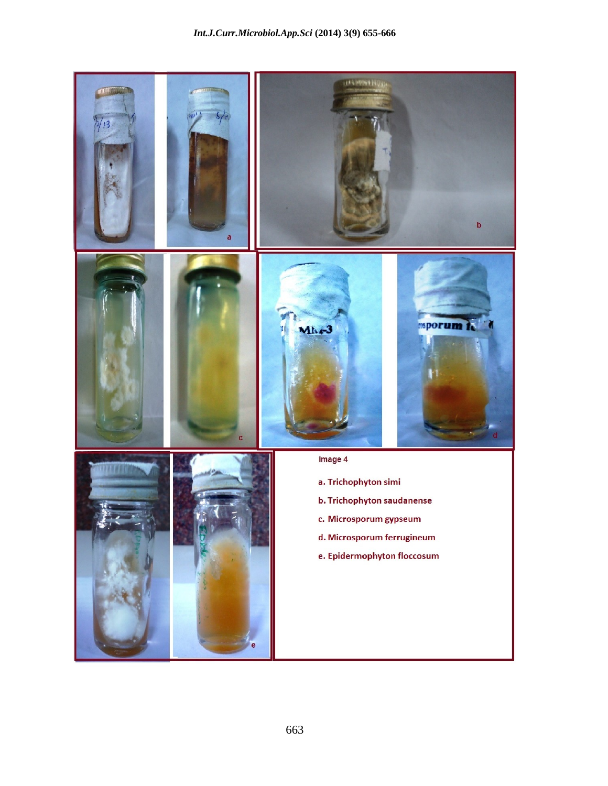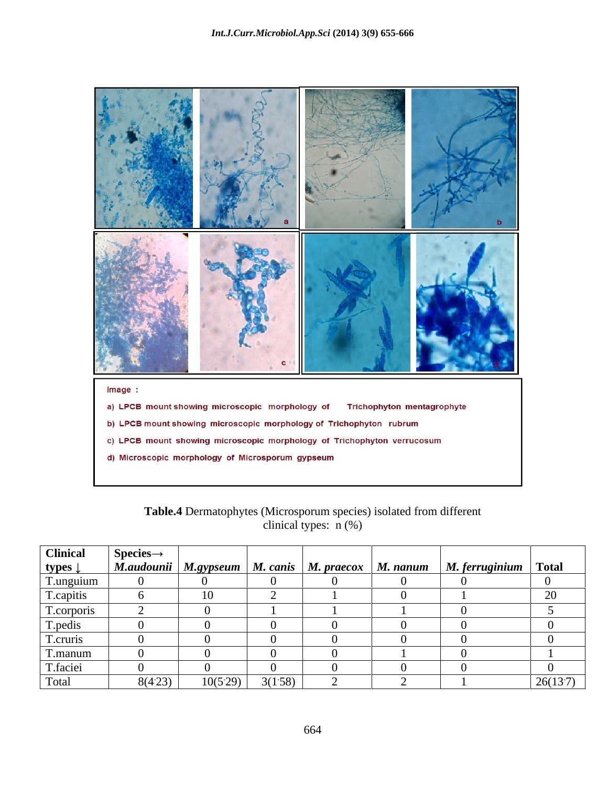

| $\cdot$ $\sim$ $\sim$<br>L'able.<br>i isolated from differen<br>: (Microsporum species):<br>natophyte<br>$-$<br>. |  |
|-------------------------------------------------------------------------------------------------------------------|--|
| a types.<br>1 W<br>1n10<br>amncai                                                                                 |  |

| <b>Clinical</b>    | Species-  |          |         |  |                                                                                    |         |
|--------------------|-----------|----------|---------|--|------------------------------------------------------------------------------------|---------|
| types $\downarrow$ |           |          |         |  | M.audounii   M.gypseum   M. canis   M. praecox   M. nanum   M. ferruginium   Total |         |
| T.unguiun          |           |          |         |  |                                                                                    |         |
| f.capitis          |           |          |         |  |                                                                                    |         |
| T.corporis         |           |          |         |  |                                                                                    |         |
| T.pedis            |           |          |         |  |                                                                                    |         |
| T.cruris           |           |          |         |  |                                                                                    |         |
| T.manum            |           |          |         |  |                                                                                    |         |
| T.faciei           |           |          |         |  |                                                                                    |         |
| Total              | $8(4.23)$ | 10(5.29) | 3(1.58) |  |                                                                                    | 26(137) |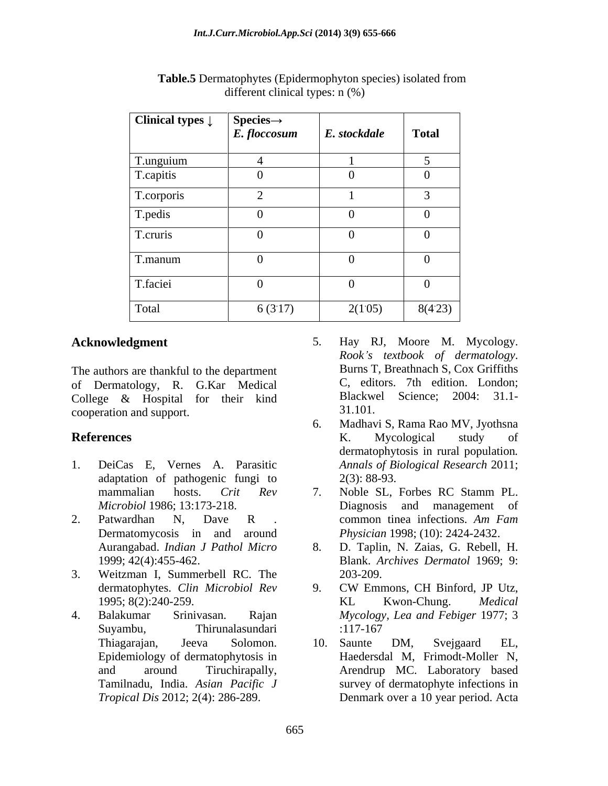| Clinical types $\downarrow$ | $\mathbf{Species}\rightarrow$<br>$E$ . floccosum | E. stockdale | <b>Total</b> |
|-----------------------------|--------------------------------------------------|--------------|--------------|
| T.unguium<br>T.capitis      |                                                  |              |              |
|                             | -0                                               |              |              |
| T.corporis                  |                                                  |              |              |
| T.pedis                     |                                                  |              |              |
| T.cruris                    |                                                  |              |              |
| T.manum                     |                                                  |              |              |
| T.faciei                    |                                                  |              |              |
| Total                       | 6(3.17)                                          | 2(105)       | 8(423)       |

 **Table.5** Dermatophytes (Epidermophyton species) isolated from different clinical types: n (%)

of Dermatology, R. G.Kar Medical College & Hospital for their kind<br>
cooperation and support<br>
31.101. cooperation and support.

- 1. DeiCas E, Vernes A. Parasitic *Annals of Biological Research* 2011; adaptation of pathogenic fungi to  $2(3)$ : 88-93.
- Dermatomycosis in and around
- 3. Weitzman I, Summerbell RC. The
- Epidemiology of dermatophytosis in
- **Acknowledgment** 5. Hay RJ, Moore M. Mycology. The authors are thankful to the department<br>Burns T, Breathnach S, Cox Griffiths *Rook <sup>s</sup> textbook of dermatology*. Burns T, Breathnach S, Cox Griffiths C, editors. 7th edition. London; Blackwel Science; 2004: 31.1- 31.101.
- **References** K. Mycological study of 6. Madhavi S, Rama Rao MV, Jyothsna K. Mycological study of dermatophytosis in rural population*. Annals of Biological Research* 2011; 2(3): 88-93.
- mammalian hosts. *Crit Rev Microbiol* 1986; 13:173-218. Diagnosis and management of 2. Patwardhan N, Dave R . common tinea infections. Am Fam 7. Noble SL, Forbes RC Stamm PL. common tinea infections. *Am Fam Physician* 1998; (10): 2424-2432.
	- Aurangabad. *Indian J Pathol Micro* 8. D. Taplin, N. Zaias, G. Rebell, H. 1999; 42(4):455-462. Blank. *Archives Dermatol* 1969; 9: 203-209.
- dermatophytes. *Clin Microbiol Rev* 1995; 8(2):240-259. 4. Balakumar Srinivasan. Rajan *Mycology, Lea and Febiger* 1977; 3 Suyambu, Thirunalasundari 9. CW Emmons, CH Binford, JP Utz, KL Kwon-Chung. *Medical*  :117-167
	- Thiagarajan, Jeeva Solomon. and around Tiruchirapally, Arendrup MC. Laboratory based Tamilnadu, India. *Asian Pacific J* survey of dermatophyte infections in *Tropical Dis* 2012; 2(4): 286-289. Denmark over a 10 year period. Acta10. Saunte DM, Svejgaard EL, Haedersdal M, Frimodt-Moller N,